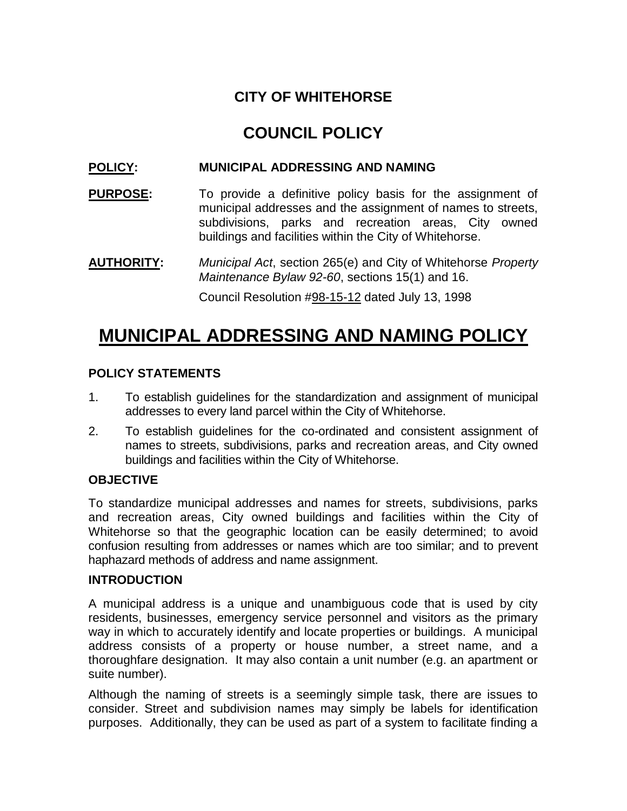### **CITY OF WHITEHORSE**

## **COUNCIL POLICY**

#### **POLICY: MUNICIPAL ADDRESSING AND NAMING**

**PURPOSE:** To provide a definitive policy basis for the assignment of municipal addresses and the assignment of names to streets, subdivisions, parks and recreation areas, City owned buildings and facilities within the City of Whitehorse.

**AUTHORITY:** *Municipal Act*, section 265(e) and City of Whitehorse *Property Maintenance Bylaw 92-60*, sections 15(1) and 16.

Council Resolution #98-15-12 dated July 13, 1998

# **MUNICIPAL ADDRESSING AND NAMING POLICY**

#### **POLICY STATEMENTS**

- 1. To establish guidelines for the standardization and assignment of municipal addresses to every land parcel within the City of Whitehorse.
- 2. To establish guidelines for the co-ordinated and consistent assignment of names to streets, subdivisions, parks and recreation areas, and City owned buildings and facilities within the City of Whitehorse.

#### **OBJECTIVE**

To standardize municipal addresses and names for streets, subdivisions, parks and recreation areas, City owned buildings and facilities within the City of Whitehorse so that the geographic location can be easily determined; to avoid confusion resulting from addresses or names which are too similar; and to prevent haphazard methods of address and name assignment.

#### **INTRODUCTION**

A municipal address is a unique and unambiguous code that is used by city residents, businesses, emergency service personnel and visitors as the primary way in which to accurately identify and locate properties or buildings. A municipal address consists of a property or house number, a street name, and a thoroughfare designation. It may also contain a unit number (e.g. an apartment or suite number).

Although the naming of streets is a seemingly simple task, there are issues to consider. Street and subdivision names may simply be labels for identification purposes. Additionally, they can be used as part of a system to facilitate finding a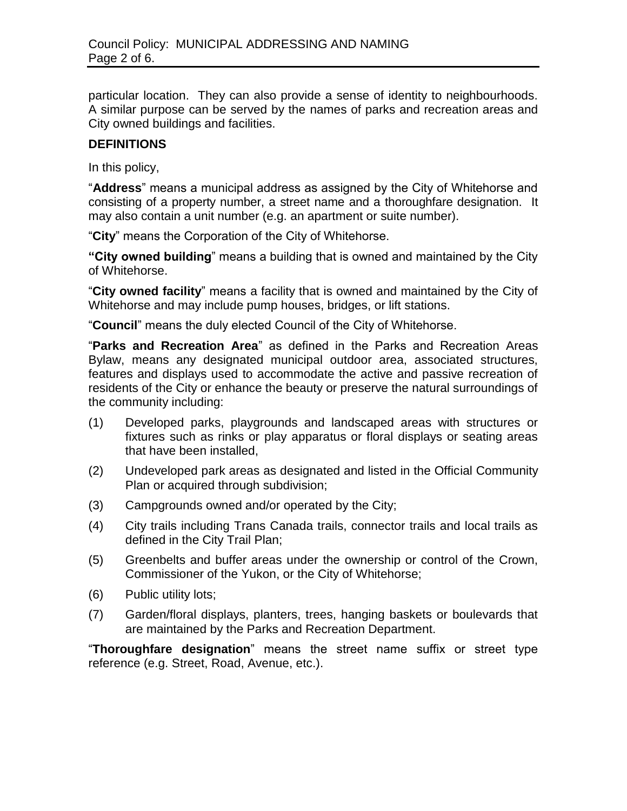particular location. They can also provide a sense of identity to neighbourhoods. A similar purpose can be served by the names of parks and recreation areas and City owned buildings and facilities.

#### **DEFINITIONS**

In this policy,

"**Address**" means a municipal address as assigned by the City of Whitehorse and consisting of a property number, a street name and a thoroughfare designation. It may also contain a unit number (e.g. an apartment or suite number).

"**City**" means the Corporation of the City of Whitehorse.

**"City owned building**" means a building that is owned and maintained by the City of Whitehorse.

"**City owned facility**" means a facility that is owned and maintained by the City of Whitehorse and may include pump houses, bridges, or lift stations.

"**Council**" means the duly elected Council of the City of Whitehorse.

"**Parks and Recreation Area**" as defined in the Parks and Recreation Areas Bylaw, means any designated municipal outdoor area, associated structures, features and displays used to accommodate the active and passive recreation of residents of the City or enhance the beauty or preserve the natural surroundings of the community including:

- (1) Developed parks, playgrounds and landscaped areas with structures or fixtures such as rinks or play apparatus or floral displays or seating areas that have been installed,
- (2) Undeveloped park areas as designated and listed in the Official Community Plan or acquired through subdivision;
- (3) Campgrounds owned and/or operated by the City;
- (4) City trails including Trans Canada trails, connector trails and local trails as defined in the City Trail Plan;
- (5) Greenbelts and buffer areas under the ownership or control of the Crown, Commissioner of the Yukon, or the City of Whitehorse;
- (6) Public utility lots;
- (7) Garden/floral displays, planters, trees, hanging baskets or boulevards that are maintained by the Parks and Recreation Department.

"**Thoroughfare designation**" means the street name suffix or street type reference (e.g. Street, Road, Avenue, etc.).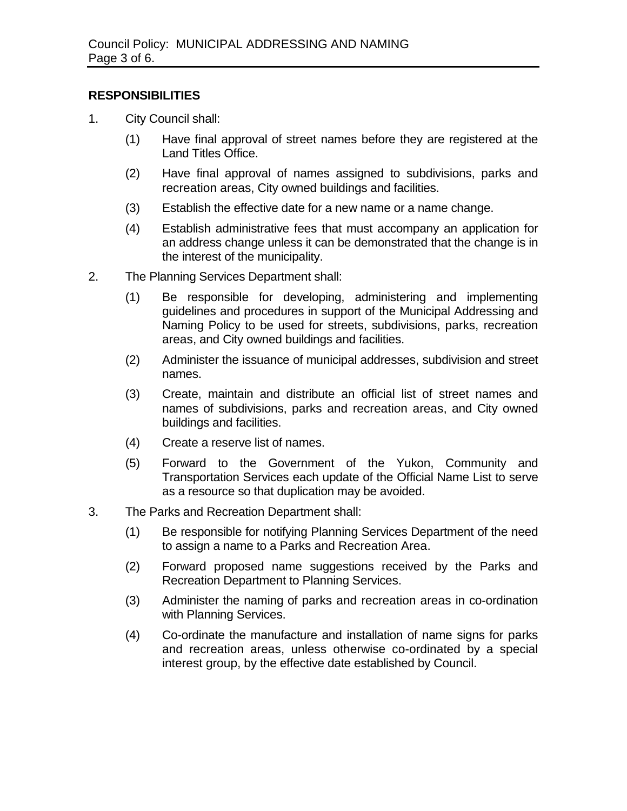#### **RESPONSIBILITIES**

- 1. City Council shall:
	- (1) Have final approval of street names before they are registered at the Land Titles Office.
	- (2) Have final approval of names assigned to subdivisions, parks and recreation areas, City owned buildings and facilities.
	- (3) Establish the effective date for a new name or a name change.
	- (4) Establish administrative fees that must accompany an application for an address change unless it can be demonstrated that the change is in the interest of the municipality.
- 2. The Planning Services Department shall:
	- (1) Be responsible for developing, administering and implementing guidelines and procedures in support of the Municipal Addressing and Naming Policy to be used for streets, subdivisions, parks, recreation areas, and City owned buildings and facilities.
	- (2) Administer the issuance of municipal addresses, subdivision and street names.
	- (3) Create, maintain and distribute an official list of street names and names of subdivisions, parks and recreation areas, and City owned buildings and facilities.
	- (4) Create a reserve list of names.
	- (5) Forward to the Government of the Yukon, Community and Transportation Services each update of the Official Name List to serve as a resource so that duplication may be avoided.
- 3. The Parks and Recreation Department shall:
	- (1) Be responsible for notifying Planning Services Department of the need to assign a name to a Parks and Recreation Area.
	- (2) Forward proposed name suggestions received by the Parks and Recreation Department to Planning Services.
	- (3) Administer the naming of parks and recreation areas in co-ordination with Planning Services.
	- (4) Co-ordinate the manufacture and installation of name signs for parks and recreation areas, unless otherwise co-ordinated by a special interest group, by the effective date established by Council.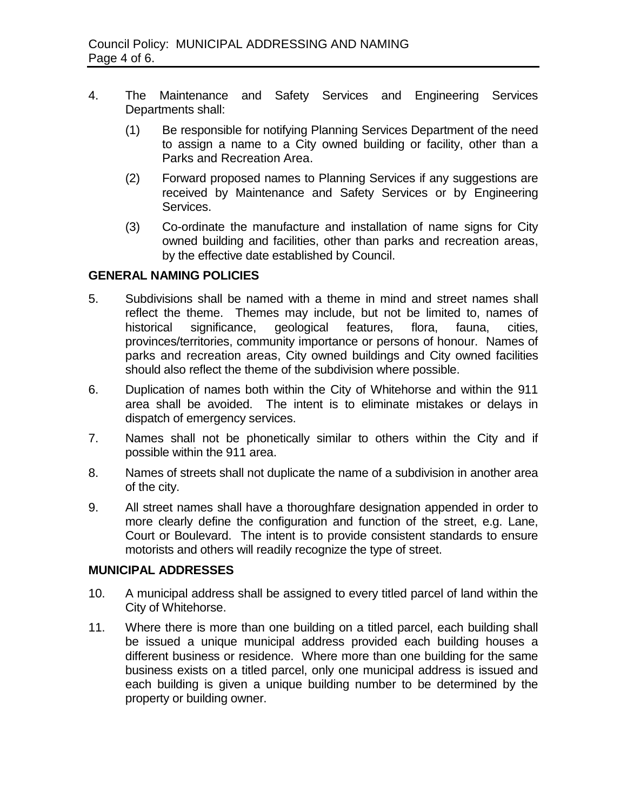- 4. The Maintenance and Safety Services and Engineering Services Departments shall:
	- (1) Be responsible for notifying Planning Services Department of the need to assign a name to a City owned building or facility, other than a Parks and Recreation Area.
	- (2) Forward proposed names to Planning Services if any suggestions are received by Maintenance and Safety Services or by Engineering Services.
	- (3) Co-ordinate the manufacture and installation of name signs for City owned building and facilities, other than parks and recreation areas, by the effective date established by Council.

#### **GENERAL NAMING POLICIES**

- 5. Subdivisions shall be named with a theme in mind and street names shall reflect the theme. Themes may include, but not be limited to, names of historical significance, geological features, flora, fauna, cities, provinces/territories, community importance or persons of honour. Names of parks and recreation areas, City owned buildings and City owned facilities should also reflect the theme of the subdivision where possible.
- 6. Duplication of names both within the City of Whitehorse and within the 911 area shall be avoided. The intent is to eliminate mistakes or delays in dispatch of emergency services.
- 7. Names shall not be phonetically similar to others within the City and if possible within the 911 area.
- 8. Names of streets shall not duplicate the name of a subdivision in another area of the city.
- 9. All street names shall have a thoroughfare designation appended in order to more clearly define the configuration and function of the street, e.g. Lane, Court or Boulevard. The intent is to provide consistent standards to ensure motorists and others will readily recognize the type of street.

#### **MUNICIPAL ADDRESSES**

- 10. A municipal address shall be assigned to every titled parcel of land within the City of Whitehorse.
- 11. Where there is more than one building on a titled parcel, each building shall be issued a unique municipal address provided each building houses a different business or residence. Where more than one building for the same business exists on a titled parcel, only one municipal address is issued and each building is given a unique building number to be determined by the property or building owner.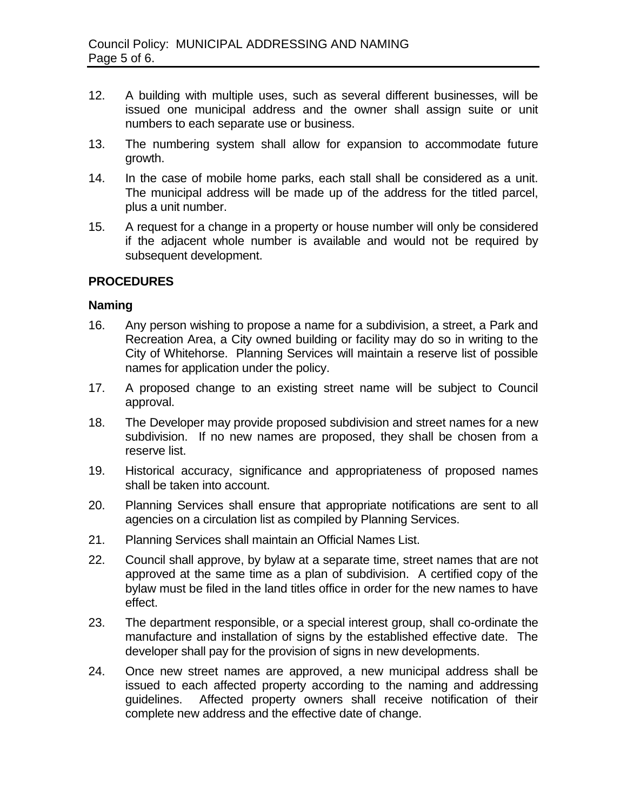- 12. A building with multiple uses, such as several different businesses, will be issued one municipal address and the owner shall assign suite or unit numbers to each separate use or business.
- 13. The numbering system shall allow for expansion to accommodate future growth.
- 14. In the case of mobile home parks, each stall shall be considered as a unit. The municipal address will be made up of the address for the titled parcel, plus a unit number.
- 15. A request for a change in a property or house number will only be considered if the adjacent whole number is available and would not be required by subsequent development.

#### **PROCEDURES**

#### **Naming**

- 16. Any person wishing to propose a name for a subdivision, a street, a Park and Recreation Area, a City owned building or facility may do so in writing to the City of Whitehorse. Planning Services will maintain a reserve list of possible names for application under the policy.
- 17. A proposed change to an existing street name will be subject to Council approval.
- 18. The Developer may provide proposed subdivision and street names for a new subdivision. If no new names are proposed, they shall be chosen from a reserve list.
- 19. Historical accuracy, significance and appropriateness of proposed names shall be taken into account.
- 20. Planning Services shall ensure that appropriate notifications are sent to all agencies on a circulation list as compiled by Planning Services.
- 21. Planning Services shall maintain an Official Names List.
- 22. Council shall approve, by bylaw at a separate time, street names that are not approved at the same time as a plan of subdivision. A certified copy of the bylaw must be filed in the land titles office in order for the new names to have effect.
- 23. The department responsible, or a special interest group, shall co-ordinate the manufacture and installation of signs by the established effective date. The developer shall pay for the provision of signs in new developments.
- 24. Once new street names are approved, a new municipal address shall be issued to each affected property according to the naming and addressing guidelines. Affected property owners shall receive notification of their complete new address and the effective date of change.